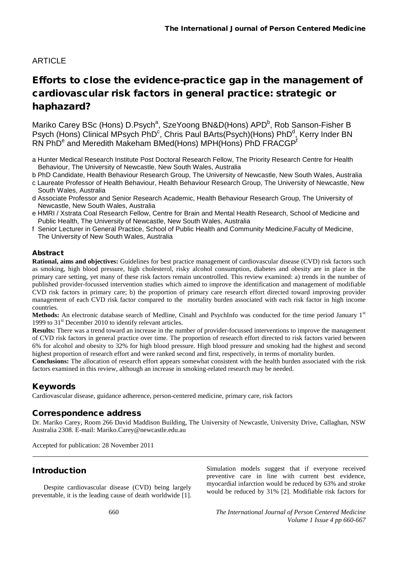# ARTICLE

# Efforts to close the evidence-practice gap in the management of cardiovascular risk factors in general practice: strategic or haphazard?

Mariko Carey BSc (Hons) D.Psych<sup>a</sup>, SzeYoong BN&D(Hons) APD<sup>b</sup>, Rob Sanson-Fisher B Psych (Hons) Clinical MPsych PhD<sup>c</sup>, Chris Paul BArts(Psych)(Hons) PhD<sup>d</sup>, Kerry Inder BN RN PhDe and Meredith Makeham BMed(Hons) MPH(Hons) PhD FRACGP<sup>f</sup>

a Hunter Medical Research Institute Post Doctoral Research Fellow, The Priority Research Centre for Health Behaviour, The University of Newcastle, New South Wales, Australia

b PhD Candidate, Health Behaviour Research Group, The University of Newcastle, New South Wales, Australia

- c Laureate Professor of Health Behaviour, Health Behaviour Research Group, The University of Newcastle, New South Wales, Australia
- d Associate Professor and Senior Research Academic, Health Behaviour Research Group, The University of Newcastle, New South Wales, Australia
- e HMRI / Xstrata Coal Research Fellow, Centre for Brain and Mental Health Research, School of Medicine and Public Health, The University of Newcastle, New South Wales, Australia
- f Senior Lecturer in General Practice, School of Public Health and Community Medicine,Faculty of Medicine, The University of New South Wales, Australia

#### Abstract

**Rational, aims and objectives:** Guidelines for best practice management of cardiovascular disease (CVD) risk factors such as smoking, high blood pressure, high cholesterol, risky alcohol consumption, diabetes and obesity are in place in the primary care setting, yet many of these risk factors remain uncontrolled. This review examined: a) trends in the number of published provider-focussed intervention studies which aimed to improve the identification and management of modifiable CVD risk factors in primary care; b) the proportion of primary care research effort directed toward improving provider management of each CVD risk factor compared to the mortality burden associated with each risk factor in high income countries.

**Methods:** An electronic database search of Medline, Cinahl and PsychInfo was conducted for the time period January 1<sup>st</sup> 1999 to  $31<sup>st</sup>$  December 2010 to identify relevant articles.

**Results:** There was a trend toward an increase in the number of provider-focussed interventions to improve the management of CVD risk factors in general practice over time. The proportion of research effort directed to risk factors varied between 6% for alcohol and obesity to 32% for high blood pressure. High blood pressure and smoking had the highest and second highest proportion of research effort and were ranked second and first, respectively, in terms of mortality burden.

**Conclusions:** The allocation of research effort appears somewhat consistent with the health burden associated with the risk factors examined in this review, although an increase in smoking-related research may be needed.

### Keywords

Cardiovascular disease, guidance adherence, person-centered medicine, primary care, risk factors

#### Correspondence address

Dr. Mariko Carey, Room 266 David Maddison Building, The University of Newcastle, University Drive, Callaghan, NSW Australia 2308. E-mail: Mariko.Carey@newcastle.edu.au

Accepted for publication: 28 November 2011

### Introduction

Despite cardiovascular disease (CVD) being largely preventable, it is the leading cause of death worldwide [1].

Simulation models suggest that if everyone received preventive care in line with current best evidence, myocardial infarction would be reduced by 63% and stroke would be reduced by 31% [2]. Modifiable risk factors for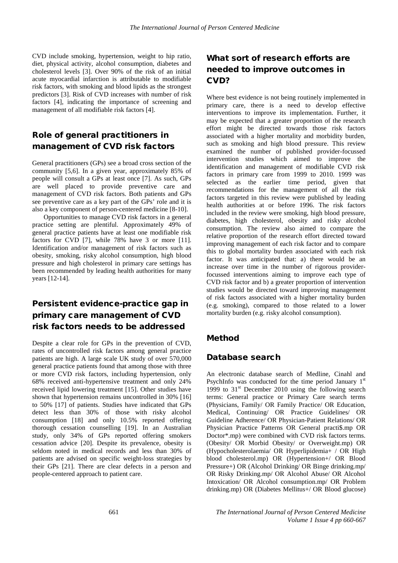CVD include smoking, hypertension, weight to hip ratio, diet, physical activity, alcohol consumption, diabetes and cholesterol levels [3]. Over 90% of the risk of an initial acute myocardial infarction is attributable to modifiable risk factors, with smoking and blood lipids as the strongest predictors [3]. Risk of CVD increases with number of risk factors [4], indicating the importance of screening and management of all modifiable risk factors [4].

# Role of general practitioners in management of CVD risk factors

General practitioners (GPs) see a broad cross section of the community [5,6]. In a given year, approximately 85% of people will consult a GPs at least once [7]. As such, GPs are well placed to provide preventive care and management of CVD risk factors. Both patients and GPs see preventive care as a key part of the GPs' role and it is also a key component of person-centered medicine [8-10].

Opportunities to manage CVD risk factors in a general practice setting are plentiful. Approximately 49% of general practice patients have at least one modifiable risk factors for CVD [7], while 78% have 3 or more [11]. Identification and/or management of risk factors such as obesity, smoking, risky alcohol consumption, high blood pressure and high cholesterol in primary care settings has been recommended by leading health authorities for many years [12-14].

# Persistent evidence-practice gap in primary care management of CVD risk factors needs to be addressed

Despite a clear role for GPs in the prevention of CVD, rates of uncontrolled risk factors among general practice patients are high. A large scale UK study of over 570,000 general practice patients found that among those with three or more CVD risk factors, including hypertension, only 68% received anti-hypertensive treatment and only 24% received lipid lowering treatment [15]. Other studies have shown that hypertension remains uncontrolled in 30% [16] to 50% [17] of patients. Studies have indicated that GPs detect less than 30% of those with risky alcohol consumption [18] and only 10.5% reported offering thorough cessation counselling [19]. In an Australian study, only 34% of GPs reported offering smokers cessation advice [20]. Despite its prevalence, obesity is seldom noted in medical records and less than 30% of patients are advised on specific weight-loss strategies by their GPs [21]. There are clear defects in a person and people-centered approach to patient care.

# What sort of research efforts are needed to improve outcomes in CVD?

Where best evidence is not being routinely implemented in primary care, there is a need to develop effective interventions to improve its implementation. Further, it may be expected that a greater proportion of the research effort might be directed towards those risk factors associated with a higher mortality and morbidity burden, such as smoking and high blood pressure. This review examined the number of published provider-focussed intervention studies which aimed to improve the identification and management of modifiable CVD risk factors in primary care from 1999 to 2010. 1999 was selected as the earlier time period, given that recommendations for the management of all the risk factors targeted in this review were published by leading health authorities at or before 1996. The risk factors included in the review were smoking, high blood pressure, diabetes, high cholesterol, obesity and risky alcohol consumption. The review also aimed to compare the relative proportion of the research effort directed toward improving management of each risk factor and to compare this to global mortality burden associated with each risk factor. It was anticipated that: a) there would be an increase over time in the number of rigorous providerfocussed interventions aiming to improve each type of CVD risk factor and b) a greater proportion of intervention studies would be directed toward improving management of risk factors associated with a higher mortality burden (e.g. smoking), compared to those related to a lower mortality burden (e.g. risky alcohol consumption).

#### Method

#### Database search

An electronic database search of Medline, Cinahl and PsychInfo was conducted for the time period January  $1<sup>st</sup>$ 1999 to  $31<sup>st</sup>$  December 2010 using the following search terms: General practice or Primary Care search terms (Physicians, Family/ OR Family Practice/ OR Education, Medical, Continuing/ OR Practice Guidelines/ OR Guideline Adherence/ OR Physician-Patient Relations/ OR Physician Practice Patterns OR General practi\$.mp OR Doctor\*.mp) were combined with CVD risk factors terms. (Obesity/ OR Morbid Obesity/ or Overweight.mp) OR (Hypocholesterolaemia/ OR Hyperlipidemia+ / OR High blood cholesterol.mp) OR (Hypertension+/ OR Blood Pressure+) OR (Alcohol Drinking/ OR Binge drinking.mp/ OR Risky Drinking.mp/ OR Alcohol Abuse/ OR Alcohol Intoxication/ OR Alcohol consumption.mp/ OR Problem drinking.mp) OR (Diabetes Mellitus+/ OR Blood glucose)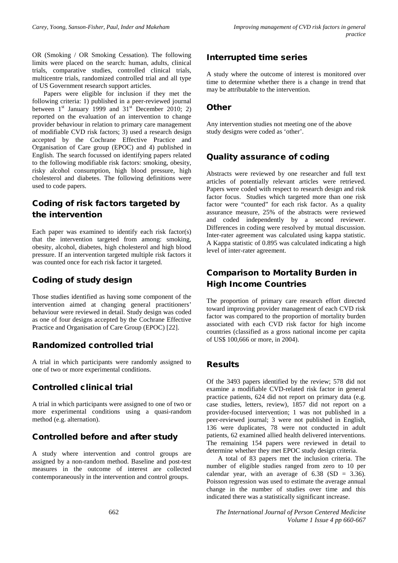OR (Smoking / OR Smoking Cessation). The following limits were placed on the search: human, adults, clinical trials, comparative studies, controlled clinical trials, multicentre trials, randomized controlled trial and all type of US Government research support articles.

Papers were eligible for inclusion if they met the following criteria: 1) published in a peer-reviewed journal between  $1<sup>st</sup>$  January 1999 and  $31<sup>st</sup>$  December 2010; 2) reported on the evaluation of an intervention to change provider behaviour in relation to primary care management of modifiable CVD risk factors; 3) used a research design accepted by the Cochrane Effective Practice and Organisation of Care group (EPOC) and 4) published in English. The search focussed on identifying papers related to the following modifiable risk factors: smoking, obesity, risky alcohol consumption, high blood pressure, high cholesterol and diabetes. The following definitions were used to code papers.

# Coding of risk factors targeted by the intervention

Each paper was examined to identify each risk factor(s) that the intervention targeted from among: smoking, obesity, alcohol, diabetes, high cholesterol and high blood pressure. If an intervention targeted multiple risk factors it was counted once for each risk factor it targeted.

### Coding of study design

Those studies identified as having some component of the intervention aimed at changing general practitioners' behaviour were reviewed in detail. Study design was coded as one of four designs accepted by the Cochrane Effective Practice and Organisation of Care Group (EPOC) [22].

#### Randomized controlled trial

A trial in which participants were randomly assigned to one of two or more experimental conditions.

### Controlled clinical trial

A trial in which participants were assigned to one of two or more experimental conditions using a quasi-random method (e.g. alternation).

#### Controlled before and after study

A study where intervention and control groups are assigned by a non-random method. Baseline and post-test measures in the outcome of interest are collected contemporaneously in the intervention and control groups.

#### Interrupted time series

A study where the outcome of interest is monitored over time to determine whether there is a change in trend that may be attributable to the intervention.

#### **Other**

Any intervention studies not meeting one of the above study designs were coded as 'other'.

#### Quality assurance of coding

Abstracts were reviewed by one researcher and full text articles of potentially relevant articles were retrieved. Papers were coded with respect to research design and risk factor focus. Studies which targeted more than one risk factor were "counted" for each risk factor. As a quality assurance measure, 25% of the abstracts were reviewed and coded independently by a second reviewer. Differences in coding were resolved by mutual discussion. Inter-rater agreement was calculated using kappa statistic. A Kappa statistic of 0.895 was calculated indicating a high level of inter-rater agreement.

## Comparison to Mortality Burden in High Income Countries

The proportion of primary care research effort directed toward improving provider management of each CVD risk factor was compared to the proportion of mortality burden associated with each CVD risk factor for high income countries (classified as a gross national income per capita of US\$ 100,666 or more, in 2004).

#### Results

Of the 3493 papers identified by the review; 578 did not examine a modifiable CVD-related risk factor in general practice patients, 624 did not report on primary data (e.g. case studies, letters, review), 1857 did not report on a provider-focused intervention; 1 was not published in a peer-reviewed journal; 3 were not published in English, 136 were duplicates, 78 were not conducted in adult patients, 62 examined allied health delivered interventions. The remaining 154 papers were reviewed in detail to determine whether they met EPOC study design criteria.

A total of 83 papers met the inclusion criteria. The number of eligible studies ranged from zero to 10 per calendar year, with an average of  $6.38$  (SD = 3.36). Poisson regression was used to estimate the average annual change in the number of studies over time and this indicated there was a statistically significant increase.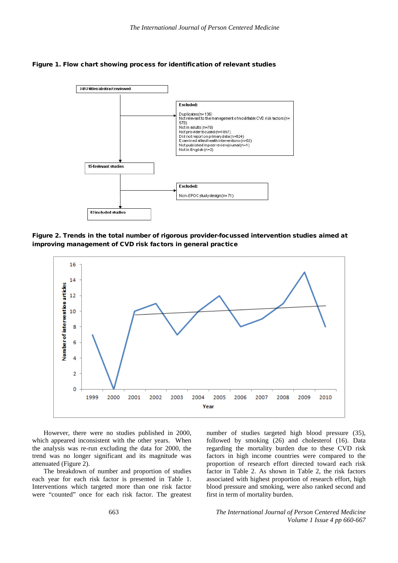



Figure 2. Trends in the total number of rigorous provider-focussed intervention studies aimed at improving management of CVD risk factors in general practice



However, there were no studies published in 2000, which appeared inconsistent with the other years. When the analysis was re-run excluding the data for 2000, the trend was no longer significant and its magnitude was attenuated (Figure 2).

The breakdown of number and proportion of studies each year for each risk factor is presented in Table 1. Interventions which targeted more than one risk factor were "counted" once for each risk factor. The greatest

number of studies targeted high blood pressure (35), followed by smoking (26) and cholesterol (16). Data regarding the mortality burden due to these CVD risk factors in high income countries were compared to the proportion of research effort directed toward each risk factor in Table 2. As shown in Table 2, the risk factors associated with highest proportion of research effort, high blood pressure and smoking, were also ranked second and first in term of mortality burden.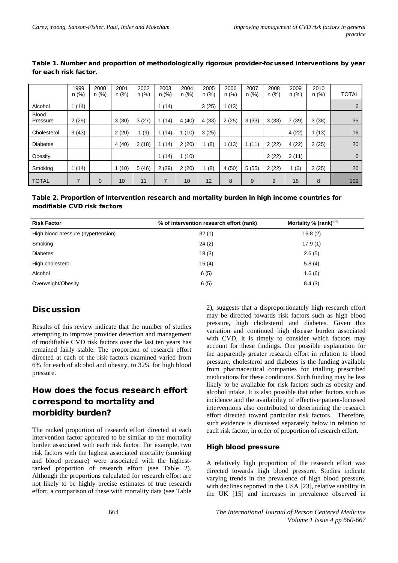|                          | 1999<br>n(%)   | 2000<br>n(%) | 2001<br>n(%) | 2002<br>n(%) | 2003<br>n(%)   | 2004<br>n(%) | 2005<br>n(%) | 2006<br>n(%) | 2007<br>n(%) | 2008<br>$n$ (%) | 2009<br>n(%) | 2010<br>n (%) | <b>TOTAL</b> |
|--------------------------|----------------|--------------|--------------|--------------|----------------|--------------|--------------|--------------|--------------|-----------------|--------------|---------------|--------------|
| Alcohol                  | 1(14)          |              |              |              | (14)           |              | 3(25)        | 1(13)        |              |                 |              |               | 6            |
| <b>Blood</b><br>Pressure | 2(29)          |              | 3(30)        | 3(27)        | (14)           | 4(40)        | 4(33)        | 2(25)        | 3(33)        | 3(33)           | 7(39)        | 3(38)         | 35           |
| Cholesterol              | 3(43)          |              | 2(20)        | (9)          | (14)           | (10)<br>1    | 3(25)        |              |              |                 | 4 (22)       | 1(13)         | 16           |
| <b>Diabetes</b>          |                |              | 4(40)        | 2(18)        | (14)           | 2(20)        | (8)          | 1(13)        | 1(11)        | 2(22)           | 4(22)        | 2(25)         | 20           |
| Obesity                  |                |              |              |              | (14)           | (10)<br>1    |              |              |              | 2(22)           | 2(11)        |               | 6            |
| Smoking                  | 1(14)          |              | 1(10)        | 5(46)        | 2(29)          | 2(20)        | 1(8)         | 4(50)        | 5(55)        | 2(22)           | 1(6)         | 2(25)         | 26           |
| <b>TOTAL</b>             | $\overline{7}$ | 0            | 10           | 11           | $\overline{7}$ | 10           | 12           | 8            | 9            | 9               | 18           | 8             | 109          |

| Table 1. Number and proportion of methodologically rigorous provider-focussed interventions by year |  |
|-----------------------------------------------------------------------------------------------------|--|
| for each risk factor.                                                                               |  |

Table 2. Proportion of intervention research and mortality burden in high income countries for modifiable CVD risk factors

| <b>Risk Factor</b>                 | % of intervention research effort (rank) | Mortality % (rank) <sup>(32)</sup> |
|------------------------------------|------------------------------------------|------------------------------------|
| High blood pressure (hypertension) | 32(1)                                    | 16.8(2)                            |
| Smoking                            | 24(2)                                    | 17.9(1)                            |
| <b>Diabetes</b>                    | 18(3)                                    | 2.6(5)                             |
| High cholesterol                   | 15(4)                                    | 5.8(4)                             |
| Alcohol                            | 6(5)                                     | 1.6(6)                             |
| Overweight/Obesity                 | 6(5)                                     | 8.4(3)                             |

# **Discussion**

Results of this review indicate that the number of studies attempting to improve provider detection and management of modifiable CVD risk factors over the last ten years has remained fairly stable. The proportion of research effort directed at each of the risk factors examined varied from 6% for each of alcohol and obesity, to 32% for high blood pressure.

# How does the focus research effort correspond to mortality and morbidity burden?

The ranked proportion of research effort directed at each intervention factor appeared to be similar to the mortality burden associated with each risk factor. For example, two risk factors with the highest associated mortality (smoking and blood pressure) were associated with the highestranked proportion of research effort (see Table 2). Although the proportions calculated for research effort are not likely to be highly precise estimates of true research effort, a comparison of these with mortality data (see Table

2), suggests that a disproportionately high research effort may be directed towards risk factors such as high blood pressure, high cholesterol and diabetes. Given this variation and continued high disease burden associated with CVD, it is timely to consider which factors may account for these findings. One possible explanation for the apparently greater research effort in relation to blood pressure, cholesterol and diabetes is the funding available from pharmaceutical companies for trialling prescribed medications for these conditions. Such funding may be less likely to be available for risk factors such as obesity and alcohol intake. It is also possible that other factors such as incidence and the availability of effective patient-focussed interventions also contributed to determining the research effort directed toward particular risk factors. Therefore, such evidence is discussed separately below in relation to each risk factor, in order of proportion of research effort.

#### High blood pressure

A relatively high proportion of the research effort was directed towards high blood pressure. Studies indicate varying trends in the prevalence of high blood pressure, with declines reported in the USA [23], relative stability in the UK [15] and increases in prevalence observed in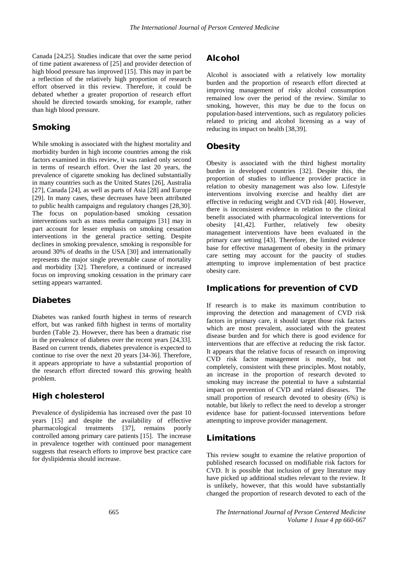Canada [24,25]. Studies indicate that over the same period of time patient awareness of [25] and provider detection of high blood pressure has improved [15]. This may in part be a reflection of the relatively high proportion of research effort observed in this review. Therefore, it could be debated whether a greater proportion of research effort should be directed towards smoking, for example, rather than high blood pressure.

### Smoking

While smoking is associated with the highest mortality and morbidity burden in high income countries among the risk factors examined in this review, it was ranked only second in terms of research effort. Over the last 20 years, the prevalence of cigarette smoking has declined substantially in many countries such as the United States [26], Australia [27], Canada [24], as well as parts of Asia [28] and Europe [29]. In many cases, these decreases have been attributed to public health campaigns and regulatory changes [28,30]. The focus on population-based smoking cessation interventions such as mass media campaigns [31] may in part account for lesser emphasis on smoking cessation interventions in the general practice setting. Despite declines in smoking prevalence, smoking is responsible for around 30% of deaths in the USA [30] and internationally represents the major single preventable cause of mortality and morbidity [32]. Therefore, a continued or increased focus on improving smoking cessation in the primary care setting appears warranted.

#### Diabetes

Diabetes was ranked fourth highest in terms of research effort, but was ranked fifth highest in terms of mortality burden (Table 2). However, there has been a dramatic rise in the prevalence of diabetes over the recent years [24,33]. Based on current trends, diabetes prevalence is expected to continue to rise over the next 20 years [34-36]. Therefore, it appears appropriate to have a substantial proportion of the research effort directed toward this growing health problem.

#### High cholesterol

Prevalence of dyslipidemia has increased over the past 10 years [15] and despite the availability of effective pharmacological treatments [37], remains poorly controlled among primary care patients [15]. The increase in prevalence together with continued poor management suggests that research efforts to improve best practice care for dyslipidemia should increase.

#### Alcohol

Alcohol is associated with a relatively low mortality burden and the proportion of research effort directed at improving management of risky alcohol consumption remained low over the period of the review. Similar to smoking, however, this may be due to the focus on population-based interventions, such as regulatory policies related to pricing and alcohol licensing as a way of reducing its impact on health [38,39].

#### Obesity

Obesity is associated with the third highest mortality burden in developed countries [32]. Despite this, the proportion of studies to influence provider practice in relation to obesity management was also low. Lifestyle interventions involving exercise and healthy diet are effective in reducing weight and CVD risk [40]. However, there is inconsistent evidence in relation to the clinical benefit associated with pharmacological interventions for obesity [41,42]. Further, relatively few obesity management interventions have been evaluated in the primary care setting [43]. Therefore, the limited evidence base for effective management of obesity in the primary care setting may account for the paucity of studies attempting to improve implementation of best practice obesity care.

#### Implications for prevention of CVD

If research is to make its maximum contribution to improving the detection and management of CVD risk factors in primary care, it should target those risk factors which are most prevalent, associated with the greatest disease burden and for which there is good evidence for interventions that are effective at reducing the risk factor. It appears that the relative focus of research on improving CVD risk factor management is mostly, but not completely, consistent with these principles. Most notably, an increase in the proportion of research devoted to smoking may increase the potential to have a substantial impact on prevention of CVD and related diseases. The small proportion of research devoted to obesity (6%) is notable, but likely to reflect the need to develop a stronger evidence base for patient-focussed interventions before attempting to improve provider management.

#### Limitations

This review sought to examine the relative proportion of published research focussed on modifiable risk factors for CVD. It is possible that inclusion of grey literature may have picked up additional studies relevant to the review. It is unlikely, however, that this would have substantially changed the proportion of research devoted to each of the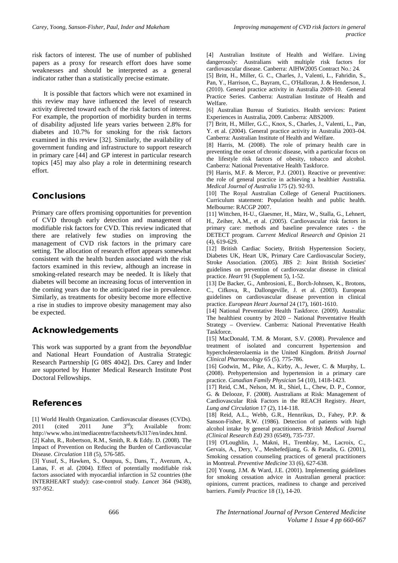risk factors of interest. The use of number of published papers as a proxy for research effort does have some weaknesses and should be interpreted as a general indicator rather than a statistically precise estimate.

It is possible that factors which were not examined in this review may have influenced the level of research activity directed toward each of the risk factors of interest. For example, the proportion of morbidity burden in terms of disability adjusted life years varies between 2.8% for diabetes and 10.7% for smoking for the risk factors examined in this review [32]. Similarly, the availability of government funding and infrastructure to support research in primary care [44] and GP interest in particular research topics [45] may also play a role in determining research effort.

### **Conclusions**

Primary care offers promising opportunities for prevention of CVD through early detection and management of modifiable risk factors for CVD. This review indicated that there are relatively few studies on improving the management of CVD risk factors in the primary care setting. The allocation of research effort appears somewhat consistent with the health burden associated with the risk factors examined in this review, although an increase in smoking-related research may be needed. It is likely that diabetes will become an increasing focus of intervention in the coming years due to the anticipated rise in prevalence. Similarly, as treatments for obesity become more effective a rise in studies to improve obesity management may also be expected.

### Acknowledgements

This work was supported by a grant from the *beyondblue* and National Heart Foundation of Australia Strategic Research Partnership [G 08S 4042]. Drs. Carey and Inder are supported by Hunter Medical Research Institute Post Doctoral Fellowships.

#### References

[1] World Health Organization. Cardiovascular diseases (CVDs). 2011 (cited 2011 June  $3<sup>rd</sup>$ ); Available from: [http://www.who.int/mediacentre/factsheets/fs317/en/index.html.](http://www.who.int/mediacentre/factsheets/fs317/en/index.html) [2] Kahn, R., Robertson, R.M., Smith, R. & Eddy. D. (2008). The Impact of Prevention on Reducing the Burden of Cardiovascular Disease. *Circulation* 118 (5), 576-585.

[3] Yusuf, S., Hawken, S., Ounpuu, S., Dans, T., Avezum, A., Lanas, F. et al. (2004). Effect of potentially modifiable risk factors associated with myocardial infarction in 52 countries (the INTERHEART study): case-control study. *Lancet* 364 (9438), 937-952.

[4] Australian Institute of Health and Welfare. Living dangerously: Australians with multiple risk factors for cardiovascular disease. Canberra: AIHW2005 Contract No.: 24.

[5] Britt, H., Miller, G. C., Charles, J., Valenti, L., Fahridin, S., Pan, Y., Harrison, C., Bayram, C., O'Halloran, J. & Henderson, J. (2010). General practice activity in Australia 2009-10. General Practice Series. Canberra: Australian Institute of Health and Welfare.

[6] Australian Bureau of Statistics. Health services: Patient Experiences in Australia, 2009. Canberra: ABS2009.

[7] Britt, H., Miller, G.C., Knox, S., Charles, J., Valenti, L., Pan, Y. et al. (2004). General practice activity in Australia 2003–04. Canberra: Australian Institute of Health and Welfare.

[8] Harris, M. (2008). The role of primary health care in preventing the onset of chronic disease, with a particular focus on the lifestyle risk factors of obesity, tobacco and alcohol. Canberra: National Preventative Health Taskforce.

[9] Harris, M.F. & Mercer, P.J. (2001). Reactive or preventive: the role of general practice in achieving a healthier Australia. *Medical Journal of Australia* 175 (2). 92-93.

[10] The Royal Australian College of General Practitioners. Curriculum statement: Population health and public health. Melbourne: RACGP 2007.

[11] Wittchen, H-U., Glaesmer, H., März, W., Stalla, G., Lehnert, H., Zeiher, A.M., et al. (2005). Cardiovascular risk factors in primary care: methods and baseline prevalence rates - the DETECT program. *Current Medical Research and Opinion* 21 (4), 619-629.

[12] British Cardiac Society, British Hypertension Society, Diabetes UK, Heart UK, Primary Care Cardiovascular Society, Stroke Association. (2005). JBS 2: Joint British Societies' guidelines on prevention of cardiovascular disease in clinical practice. *Heart* 91 (Supplement 5), 1-52.

[13] De Backer, G., Ambrosioni, E., Borch-Johnsen, K., Brotons, C., Cifkova, R., Dallongeville, J. et al. (2003). European guidelines on cardiovascular disease prevention in clinical practice. *European Heart Journal* 24 (17), 1601-1610.

[14] National Preventative Health Taskforce. (2009). Australia: The healthiest country by 2020 – National Preventative Health Strategy – Overview. Canberra: National Preventative Health Taskforce.

[15] MacDonald, T.M. & Morant, S.V. (2008). Prevalence and treatment of isolated and concurrent hypertension and hypercholesterolaemia in the United Kingdom. *British Journal Clinical Pharmacology* 65 (5). 775-786.

[16] Godwin, M., Pike, A., Kirby, A., Jewer, C. & Murphy, L. (2008). Prehypertension and hypertension in a primary care practice. *Canadian Family Physician* 54 (10), 1418-1423.

[17] Reid, C.M., Nelson, M. R., Shiel, L., Chew, D. P., Connor, G. & Delooze, F. (2008). Australians at Risk: Management of Cardiovascular Risk Factors in the REACH Registry. *Heart, Lung and Circulation* 17 (2), 114-118.

[18] Reid, A.L., Webb, G.R., Hennrikus, D., Fahey, P.P. & Sanson-Fisher, R.W. (1986). Detection of patients with high alcohol intake by general practitioners. *British Medical Journal (Clinical Research Ed)* 293 (6549), 735-737.

[19] O'Loughlin, J., Makni, H., Tremblay, M., Lacroix, C., Gervais, A., Dery, V., Meshefedjiang, G. & Paradis, G. (2001), Smoking cessation counseling practices of general practitioners in Montreal. *Preventive Medicine* 33 (6), 627-638.

[20] Young, J.M. & Ward, J.E. (2001). Implementing guidelines for smoking cessation advice in Australian general practice: opinions, current practices, readiness to change and perceived barriers. *Family Practice* 18 (1), 14-20.